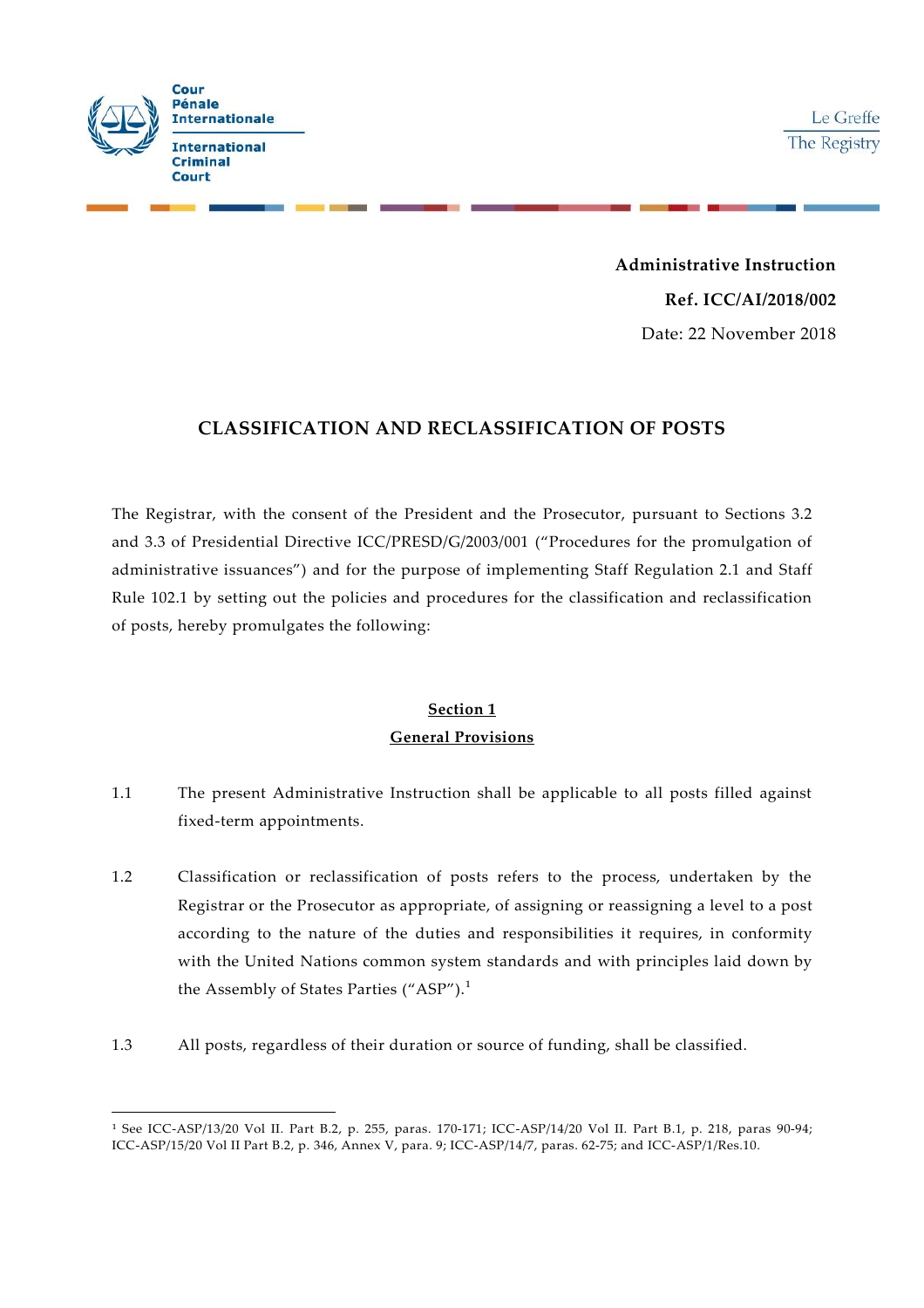

**Administrative Instruction Ref. ICC/AI/2018/002** Date: 22 November 2018

### **CLASSIFICATION AND RECLASSIFICATION OF POSTS**

The Registrar, with the consent of the President and the Prosecutor, pursuant to Sections 3.2 and 3.3 of Presidential Directive ICC/PRESD/G/2003/001 ("Procedures for the promulgation of administrative issuances") and for the purpose of implementing Staff Regulation 2.1 and Staff Rule 102.1 by setting out the policies and procedures for the classification and reclassification of posts, hereby promulgates the following:

# **Section 1 General Provisions**

- 1.1 The present Administrative Instruction shall be applicable to all posts filled against fixed-term appointments.
- 1.2 Classification or reclassification of posts refers to the process, undertaken by the Registrar or the Prosecutor as appropriate, of assigning or reassigning a level to a post according to the nature of the duties and responsibilities it requires, in conformity with the United Nations common system standards and with principles laid down by the Assembly of States Parties ("ASP").<sup>1</sup>
- 1.3 All posts, regardless of their duration or source of funding, shall be classified.

<sup>1</sup> See ICC-ASP/13/20 Vol II. Part B.2, p. 255, paras. 170-171; ICC-ASP/14/20 Vol II. Part B.1, p. 218, paras 90-94; ICC-ASP/15/20 Vol II Part B.2, p. 346, Annex V, para. 9; ICC-ASP/14/7, paras. 62-75; and ICC-ASP/1/Res.10.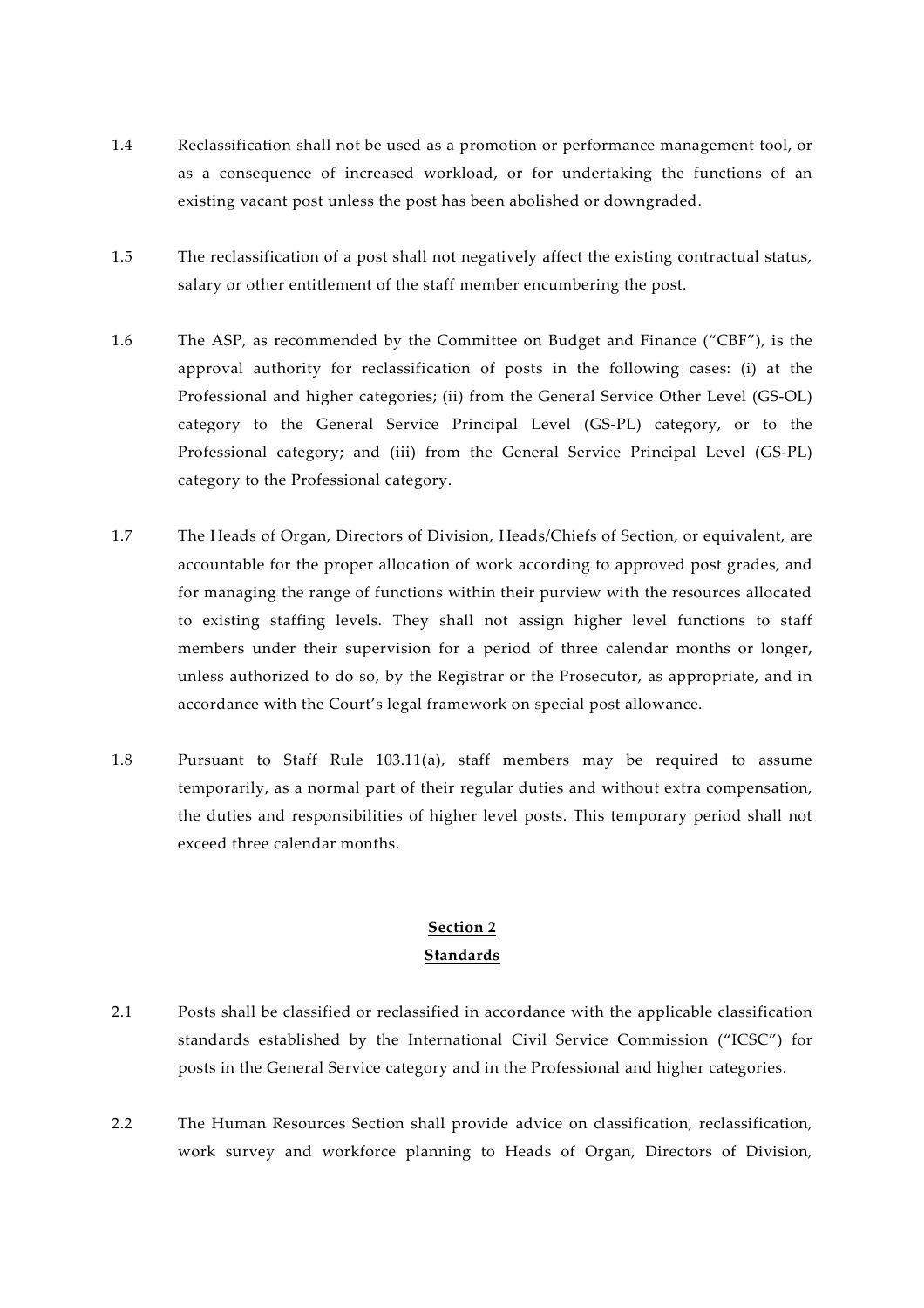- 1.4 Reclassification shall not be used as a promotion or performance management tool, or as a consequence of increased workload, or for undertaking the functions of an existing vacant post unless the post has been abolished or downgraded.
- 1.5 The reclassification of a post shall not negatively affect the existing contractual status, salary or other entitlement of the staff member encumbering the post.
- 1.6 The ASP, as recommended by the Committee on Budget and Finance ("CBF"), is the approval authority for reclassification of posts in the following cases: (i) at the Professional and higher categories; (ii) from the General Service Other Level (GS-OL) category to the General Service Principal Level (GS-PL) category, or to the Professional category; and (iii) from the General Service Principal Level (GS-PL) category to the Professional category.
- 1.7 The Heads of Organ, Directors of Division, Heads/Chiefs of Section, or equivalent, are accountable for the proper allocation of work according to approved post grades, and for managing the range of functions within their purview with the resources allocated to existing staffing levels. They shall not assign higher level functions to staff members under their supervision for a period of three calendar months or longer, unless authorized to do so, by the Registrar or the Prosecutor, as appropriate, and in accordance with the Court's legal framework on special post allowance.
- 1.8 Pursuant to Staff Rule 103.11(a), staff members may be required to assume temporarily, as a normal part of their regular duties and without extra compensation, the duties and responsibilities of higher level posts. This temporary period shall not exceed three calendar months.

# **Section 2 Standards**

- 2.1 Posts shall be classified or reclassified in accordance with the applicable classification standards established by the International Civil Service Commission ("ICSC") for posts in the General Service category and in the Professional and higher categories.
- 2.2 The Human Resources Section shall provide advice on classification, reclassification, work survey and workforce planning to Heads of Organ, Directors of Division,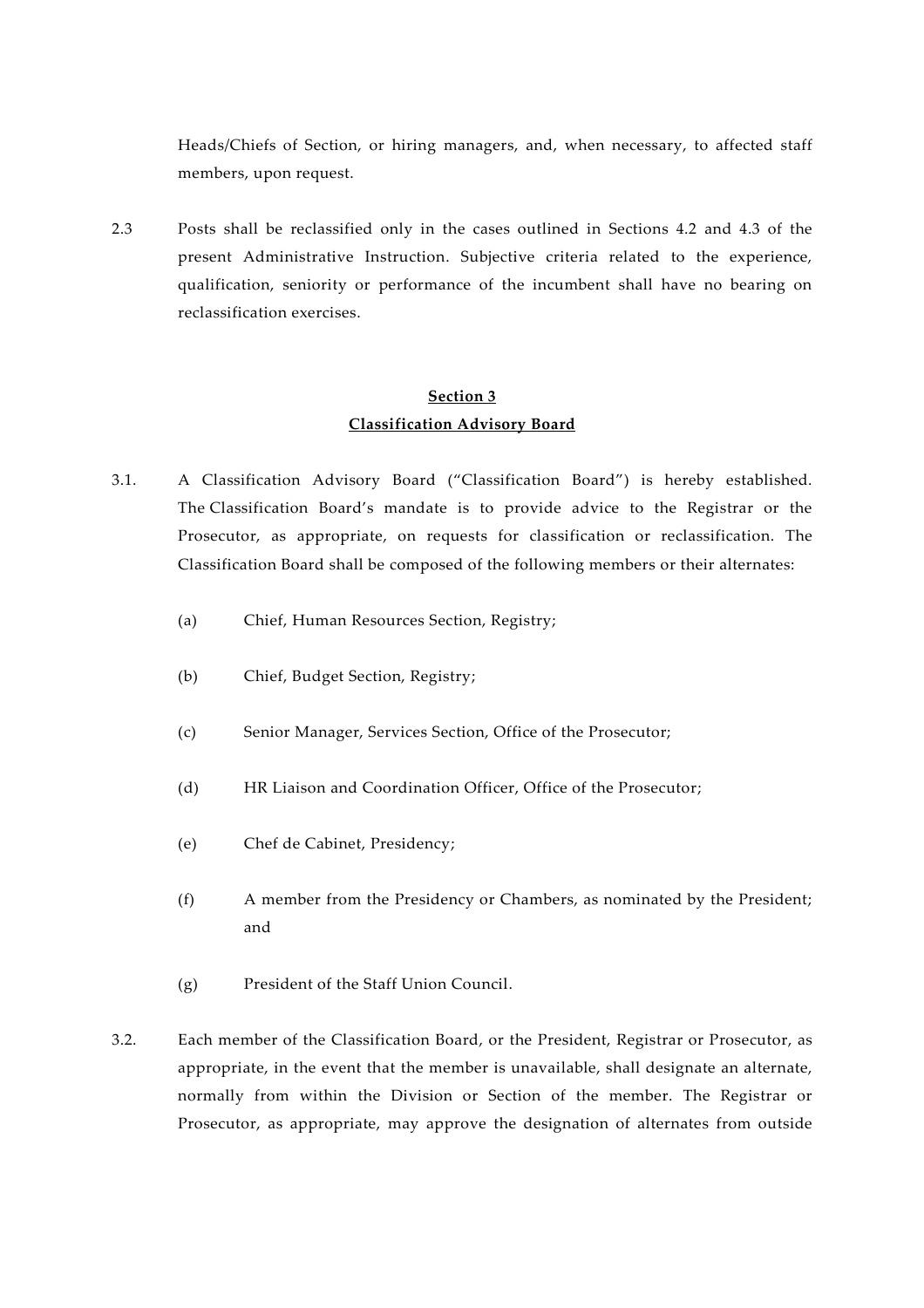Heads/Chiefs of Section, or hiring managers, and, when necessary, to affected staff members, upon request.

2.3 Posts shall be reclassified only in the cases outlined in Sections 4.2 and 4.3 of the present Administrative Instruction. Subjective criteria related to the experience, qualification, seniority or performance of the incumbent shall have no bearing on reclassification exercises.

### **Section 3 Classification Advisory Board**

- 3.1. A Classification Advisory Board ("Classification Board") is hereby established. The Classification Board's mandate is to provide advice to the Registrar or the Prosecutor, as appropriate, on requests for classification or reclassification. The Classification Board shall be composed of the following members or their alternates:
	- (a) Chief, Human Resources Section, Registry;
	- (b) Chief, Budget Section, Registry;
	- (c) Senior Manager, Services Section, Office of the Prosecutor;
	- (d) HR Liaison and Coordination Officer, Office of the Prosecutor;
	- (e) Chef de Cabinet, Presidency;
	- (f) A member from the Presidency or Chambers, as nominated by the President; and
	- (g) President of the Staff Union Council.
- 3.2. Each member of the Classification Board, or the President, Registrar or Prosecutor, as appropriate, in the event that the member is unavailable, shall designate an alternate, normally from within the Division or Section of the member. The Registrar or Prosecutor, as appropriate, may approve the designation of alternates from outside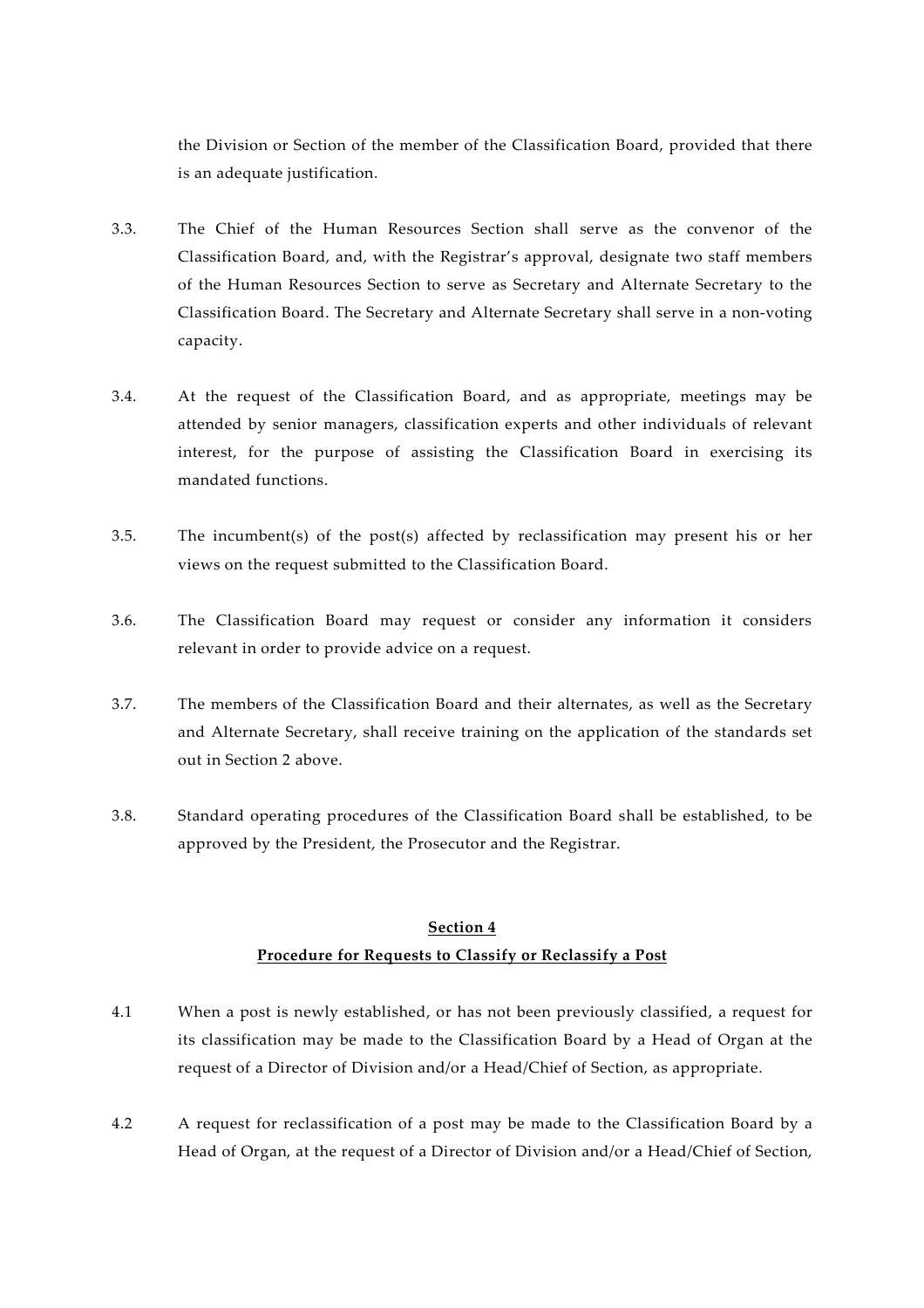the Division or Section of the member of the Classification Board, provided that there is an adequate justification.

- 3.3. The Chief of the Human Resources Section shall serve as the convenor of the Classification Board, and, with the Registrar's approval, designate two staff members of the Human Resources Section to serve as Secretary and Alternate Secretary to the Classification Board. The Secretary and Alternate Secretary shall serve in a non-voting capacity.
- 3.4. At the request of the Classification Board, and as appropriate, meetings may be attended by senior managers, classification experts and other individuals of relevant interest, for the purpose of assisting the Classification Board in exercising its mandated functions.
- 3.5. The incumbent(s) of the post(s) affected by reclassification may present his or her views on the request submitted to the Classification Board.
- 3.6. The Classification Board may request or consider any information it considers relevant in order to provide advice on a request.
- 3.7. The members of the Classification Board and their alternates, as well as the Secretary and Alternate Secretary, shall receive training on the application of the standards set out in Section 2 above.
- 3.8. Standard operating procedures of the Classification Board shall be established, to be approved by the President, the Prosecutor and the Registrar.

# **Section 4 Procedure for Requests to Classify or Reclassify a Post**

- 4.1 When a post is newly established, or has not been previously classified, a request for its classification may be made to the Classification Board by a Head of Organ at the request of a Director of Division and/or a Head/Chief of Section, as appropriate.
- 4.2 A request for reclassification of a post may be made to the Classification Board by a Head of Organ, at the request of a Director of Division and/or a Head/Chief of Section,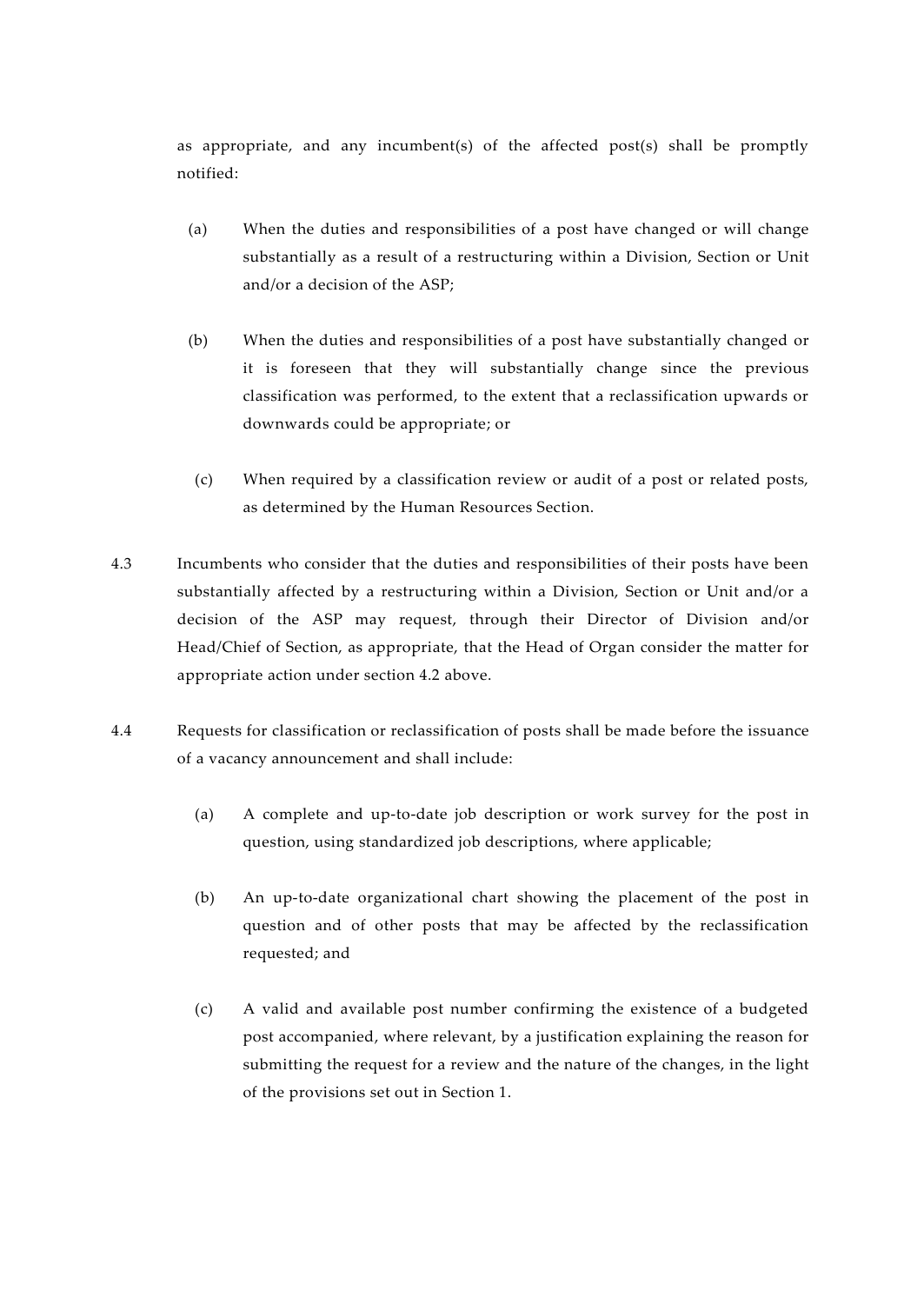as appropriate, and any incumbent(s) of the affected post(s) shall be promptly notified:

- (a) When the duties and responsibilities of a post have changed or will change substantially as a result of a restructuring within a Division, Section or Unit and/or a decision of the ASP;
- (b) When the duties and responsibilities of a post have substantially changed or it is foreseen that they will substantially change since the previous classification was performed, to the extent that a reclassification upwards or downwards could be appropriate; or
- (c) When required by a classification review or audit of a post or related posts, as determined by the Human Resources Section.
- 4.3 Incumbents who consider that the duties and responsibilities of their posts have been substantially affected by a restructuring within a Division, Section or Unit and/or a decision of the ASP may request, through their Director of Division and/or Head/Chief of Section, as appropriate, that the Head of Organ consider the matter for appropriate action under section 4.2 above.
- 4.4 Requests for classification or reclassification of posts shall be made before the issuance of a vacancy announcement and shall include:
	- (a) A complete and up-to-date job description or work survey for the post in question, using standardized job descriptions, where applicable;
	- (b) An up-to-date organizational chart showing the placement of the post in question and of other posts that may be affected by the reclassification requested; and
	- (c) A valid and available post number confirming the existence of a budgeted post accompanied, where relevant, by a justification explaining the reason for submitting the request for a review and the nature of the changes, in the light of the provisions set out in Section 1.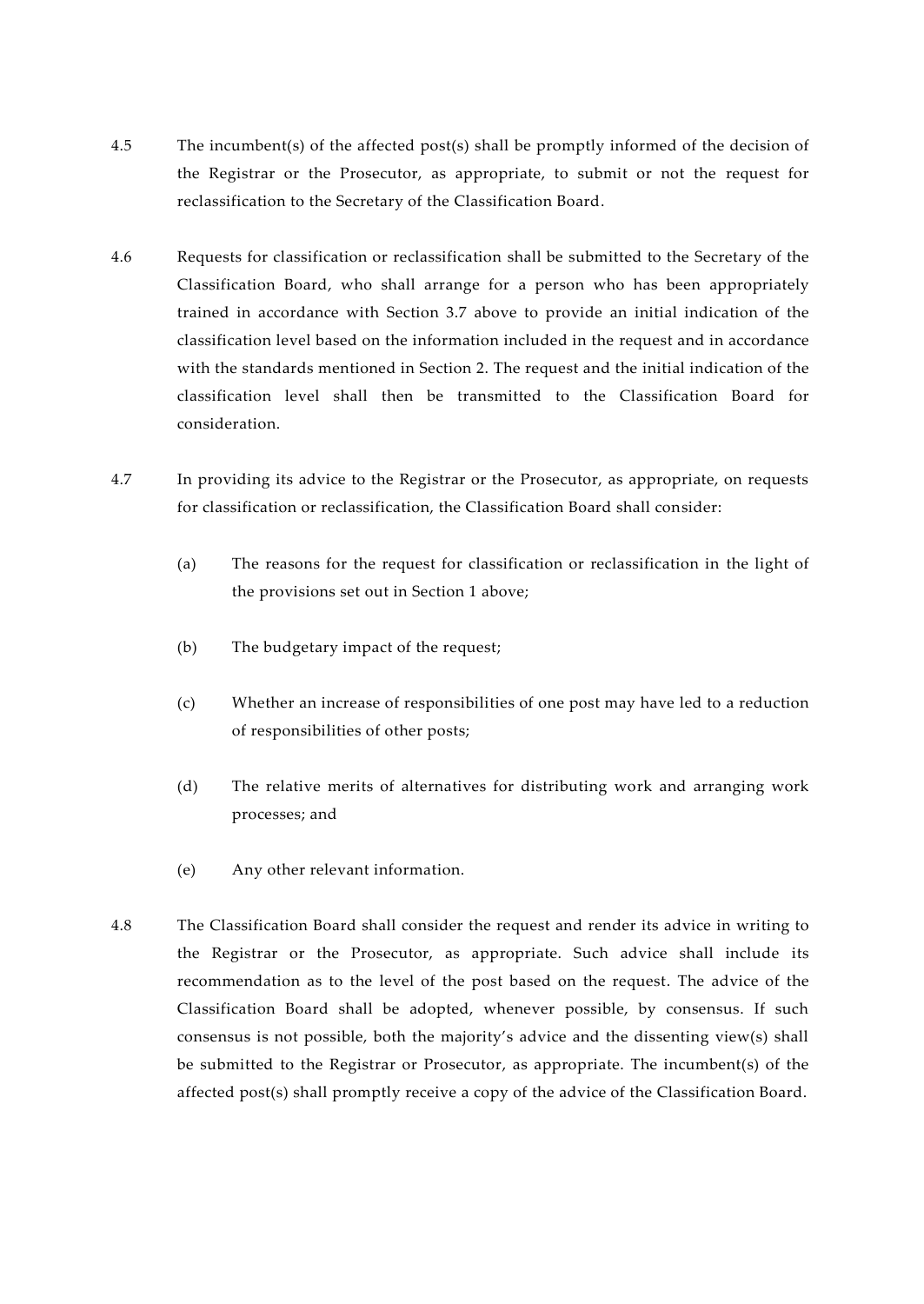- 4.5 The incumbent(s) of the affected post(s) shall be promptly informed of the decision of the Registrar or the Prosecutor, as appropriate, to submit or not the request for reclassification to the Secretary of the Classification Board.
- 4.6 Requests for classification or reclassification shall be submitted to the Secretary of the Classification Board, who shall arrange for a person who has been appropriately trained in accordance with Section 3.7 above to provide an initial indication of the classification level based on the information included in the request and in accordance with the standards mentioned in Section 2. The request and the initial indication of the classification level shall then be transmitted to the Classification Board for consideration.
- 4.7 In providing its advice to the Registrar or the Prosecutor, as appropriate, on requests for classification or reclassification, the Classification Board shall consider:
	- (a) The reasons for the request for classification or reclassification in the light of the provisions set out in Section 1 above;
	- (b) The budgetary impact of the request;
	- (c) Whether an increase of responsibilities of one post may have led to a reduction of responsibilities of other posts;
	- (d) The relative merits of alternatives for distributing work and arranging work processes; and
	- (e) Any other relevant information.
- 4.8 The Classification Board shall consider the request and render its advice in writing to the Registrar or the Prosecutor, as appropriate. Such advice shall include its recommendation as to the level of the post based on the request. The advice of the Classification Board shall be adopted, whenever possible, by consensus. If such consensus is not possible, both the majority's advice and the dissenting view(s) shall be submitted to the Registrar or Prosecutor, as appropriate. The incumbent(s) of the affected post(s) shall promptly receive a copy of the advice of the Classification Board.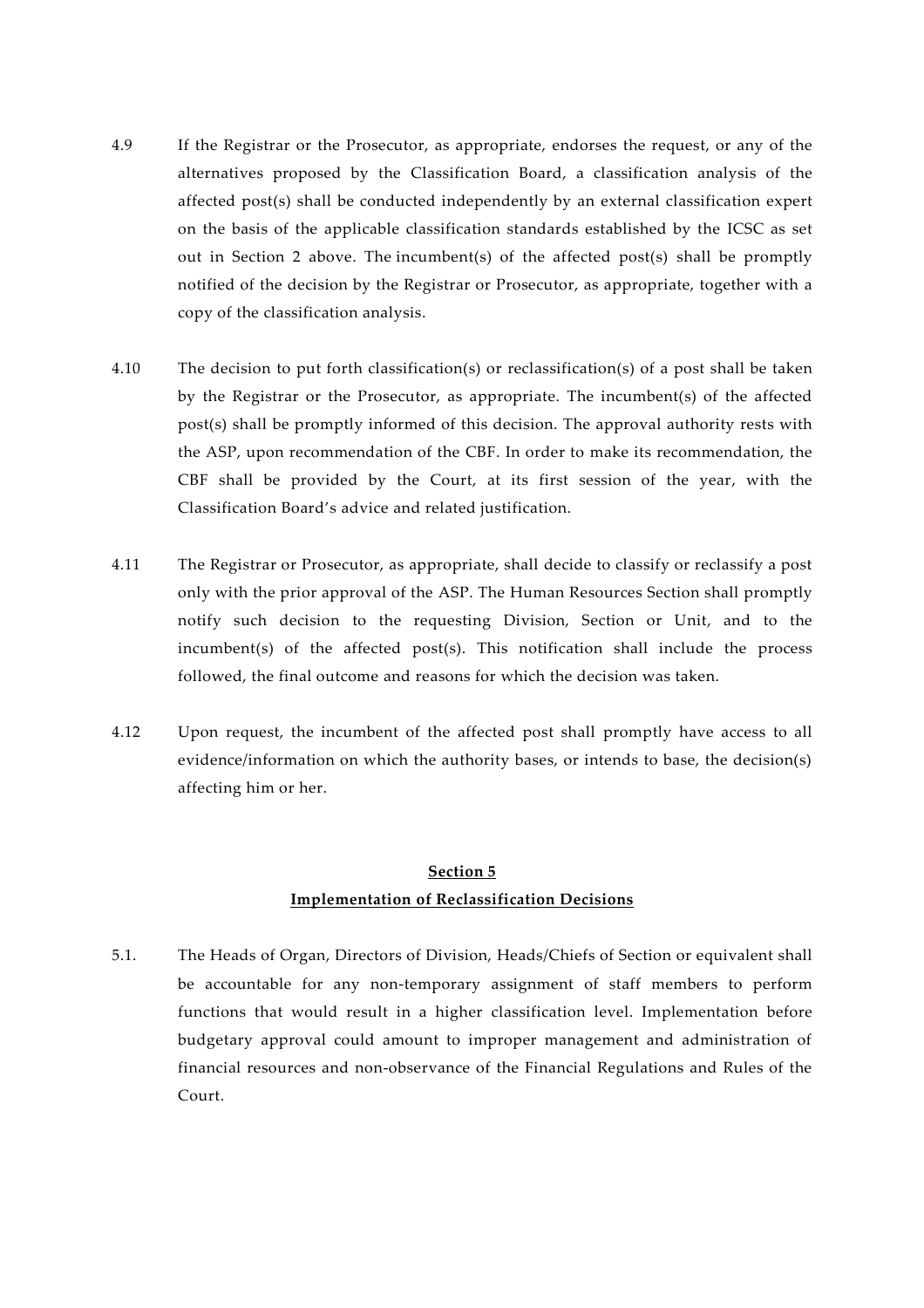- 4.9 If the Registrar or the Prosecutor, as appropriate, endorses the request, or any of the alternatives proposed by the Classification Board, a classification analysis of the affected post(s) shall be conducted independently by an external classification expert on the basis of the applicable classification standards established by the ICSC as set out in Section 2 above. The incumbent(s) of the affected post(s) shall be promptly notified of the decision by the Registrar or Prosecutor, as appropriate, together with a copy of the classification analysis.
- 4.10 The decision to put forth classification(s) or reclassification(s) of a post shall be taken by the Registrar or the Prosecutor, as appropriate. The incumbent(s) of the affected post(s) shall be promptly informed of this decision. The approval authority rests with the ASP, upon recommendation of the CBF. In order to make its recommendation, the CBF shall be provided by the Court, at its first session of the year, with the Classification Board's advice and related justification.
- 4.11 The Registrar or Prosecutor, as appropriate, shall decide to classify or reclassify a post only with the prior approval of the ASP. The Human Resources Section shall promptly notify such decision to the requesting Division, Section or Unit, and to the incumbent(s) of the affected post(s). This notification shall include the process followed, the final outcome and reasons for which the decision was taken.
- 4.12 Upon request, the incumbent of the affected post shall promptly have access to all evidence/information on which the authority bases, or intends to base, the decision(s) affecting him or her.

## **Section 5 Implementation of Reclassification Decisions**

5.1. The Heads of Organ, Directors of Division, Heads/Chiefs of Section or equivalent shall be accountable for any non-temporary assignment of staff members to perform functions that would result in a higher classification level. Implementation before budgetary approval could amount to improper management and administration of financial resources and non-observance of the Financial Regulations and Rules of the Court.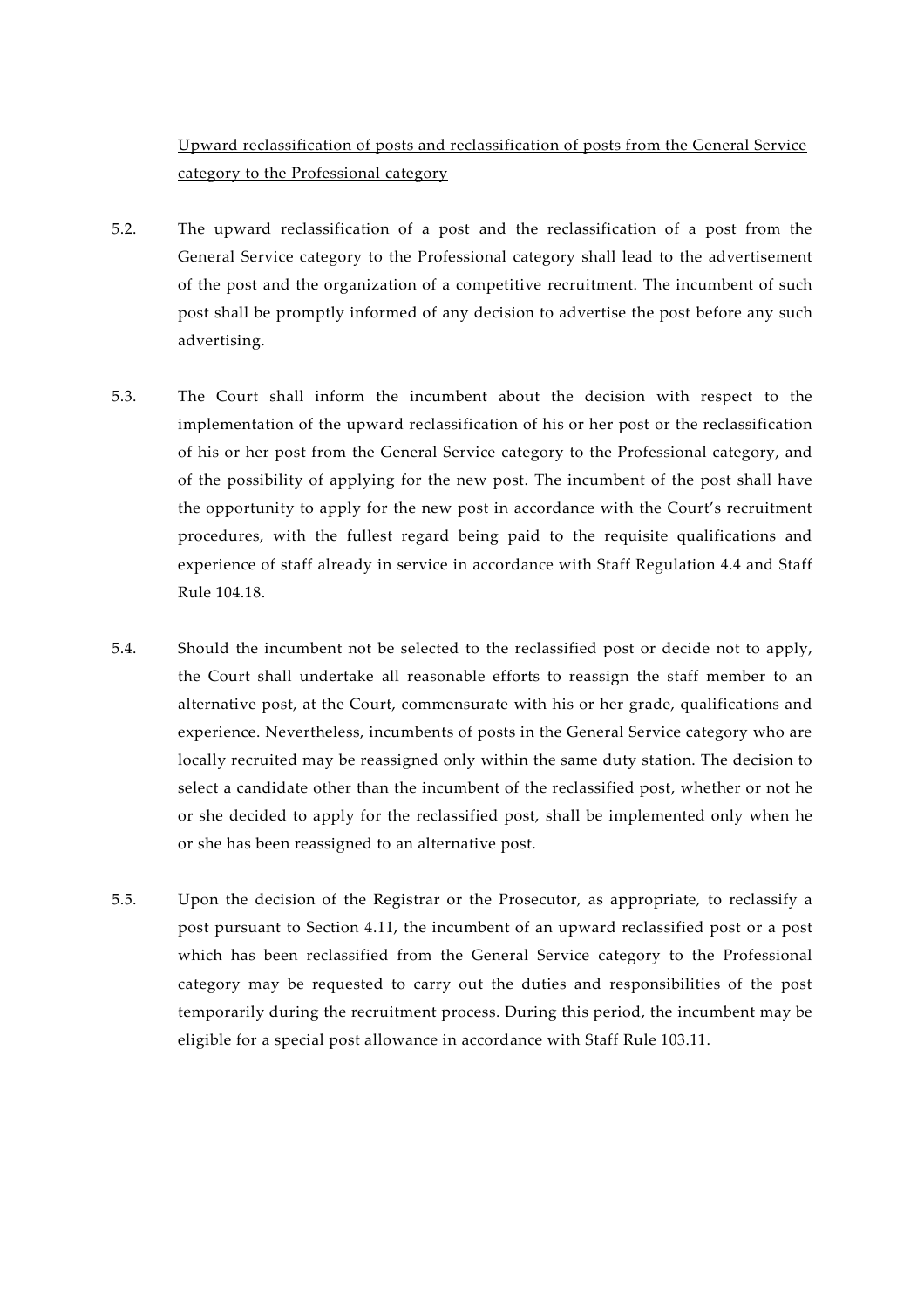Upward reclassification of posts and reclassification of posts from the General Service category to the Professional category

- 5.2. The upward reclassification of a post and the reclassification of a post from the General Service category to the Professional category shall lead to the advertisement of the post and the organization of a competitive recruitment. The incumbent of such post shall be promptly informed of any decision to advertise the post before any such advertising.
- 5.3. The Court shall inform the incumbent about the decision with respect to the implementation of the upward reclassification of his or her post or the reclassification of his or her post from the General Service category to the Professional category, and of the possibility of applying for the new post. The incumbent of the post shall have the opportunity to apply for the new post in accordance with the Court's recruitment procedures, with the fullest regard being paid to the requisite qualifications and experience of staff already in service in accordance with Staff Regulation 4.4 and Staff Rule 104.18.
- 5.4. Should the incumbent not be selected to the reclassified post or decide not to apply, the Court shall undertake all reasonable efforts to reassign the staff member to an alternative post, at the Court, commensurate with his or her grade, qualifications and experience. Nevertheless, incumbents of posts in the General Service category who are locally recruited may be reassigned only within the same duty station. The decision to select a candidate other than the incumbent of the reclassified post, whether or not he or she decided to apply for the reclassified post, shall be implemented only when he or she has been reassigned to an alternative post.
- 5.5. Upon the decision of the Registrar or the Prosecutor, as appropriate, to reclassify a post pursuant to Section 4.11, the incumbent of an upward reclassified post or a post which has been reclassified from the General Service category to the Professional category may be requested to carry out the duties and responsibilities of the post temporarily during the recruitment process. During this period, the incumbent may be eligible for a special post allowance in accordance with Staff Rule 103.11.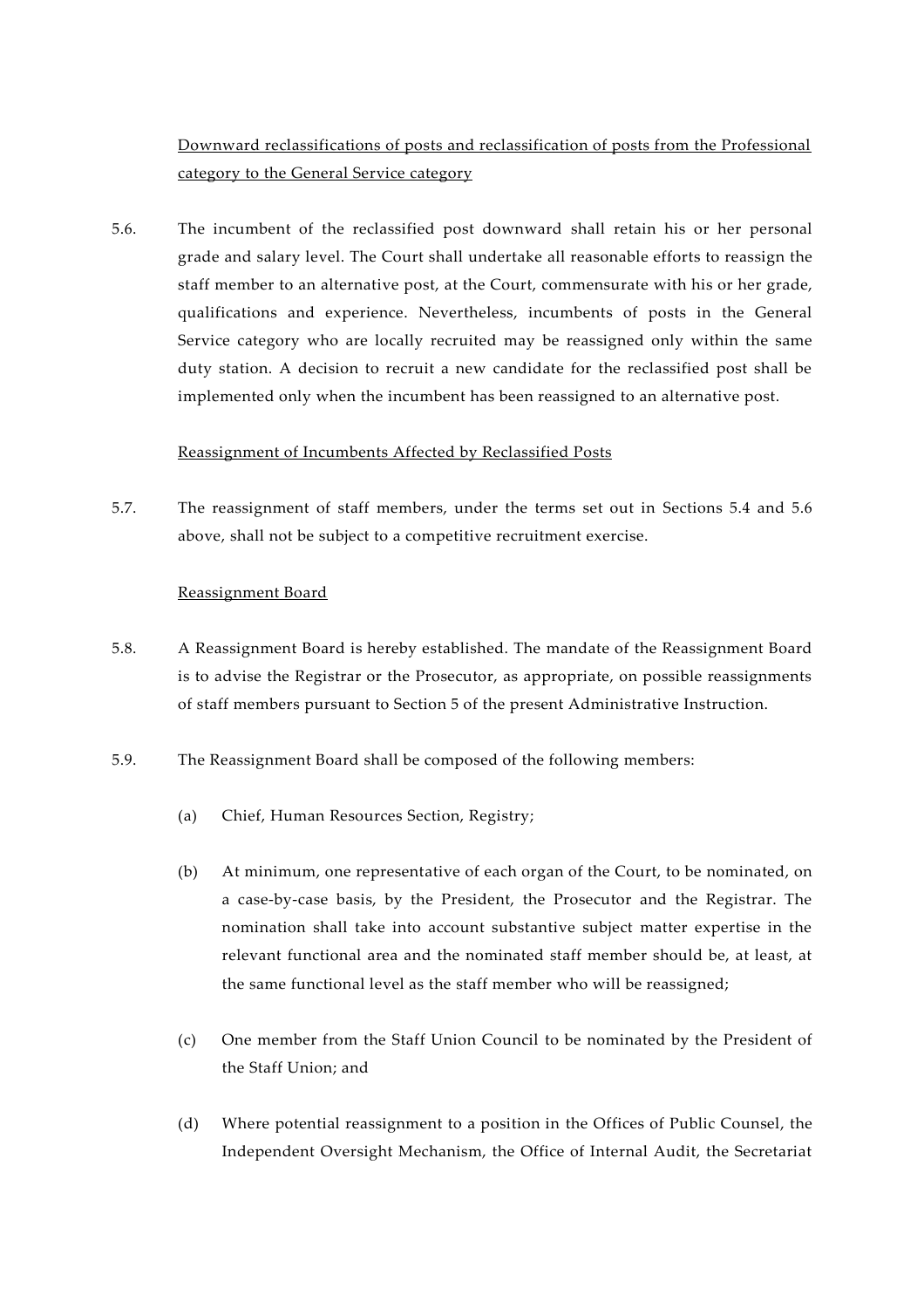Downward reclassifications of posts and reclassification of posts from the Professional category to the General Service category

5.6. The incumbent of the reclassified post downward shall retain his or her personal grade and salary level. The Court shall undertake all reasonable efforts to reassign the staff member to an alternative post, at the Court, commensurate with his or her grade, qualifications and experience. Nevertheless, incumbents of posts in the General Service category who are locally recruited may be reassigned only within the same duty station. A decision to recruit a new candidate for the reclassified post shall be implemented only when the incumbent has been reassigned to an alternative post.

#### Reassignment of Incumbents Affected by Reclassified Posts

5.7. The reassignment of staff members, under the terms set out in Sections 5.4 and 5.6 above, shall not be subject to a competitive recruitment exercise.

#### Reassignment Board

- 5.8. A Reassignment Board is hereby established. The mandate of the Reassignment Board is to advise the Registrar or the Prosecutor, as appropriate, on possible reassignments of staff members pursuant to Section 5 of the present Administrative Instruction.
- 5.9. The Reassignment Board shall be composed of the following members:
	- (a) Chief, Human Resources Section, Registry;
	- (b) At minimum, one representative of each organ of the Court, to be nominated, on a case-by-case basis, by the President, the Prosecutor and the Registrar. The nomination shall take into account substantive subject matter expertise in the relevant functional area and the nominated staff member should be, at least, at the same functional level as the staff member who will be reassigned;
	- (c) One member from the Staff Union Council to be nominated by the President of the Staff Union; and
	- (d) Where potential reassignment to a position in the Offices of Public Counsel, the Independent Oversight Mechanism, the Office of Internal Audit, the Secretariat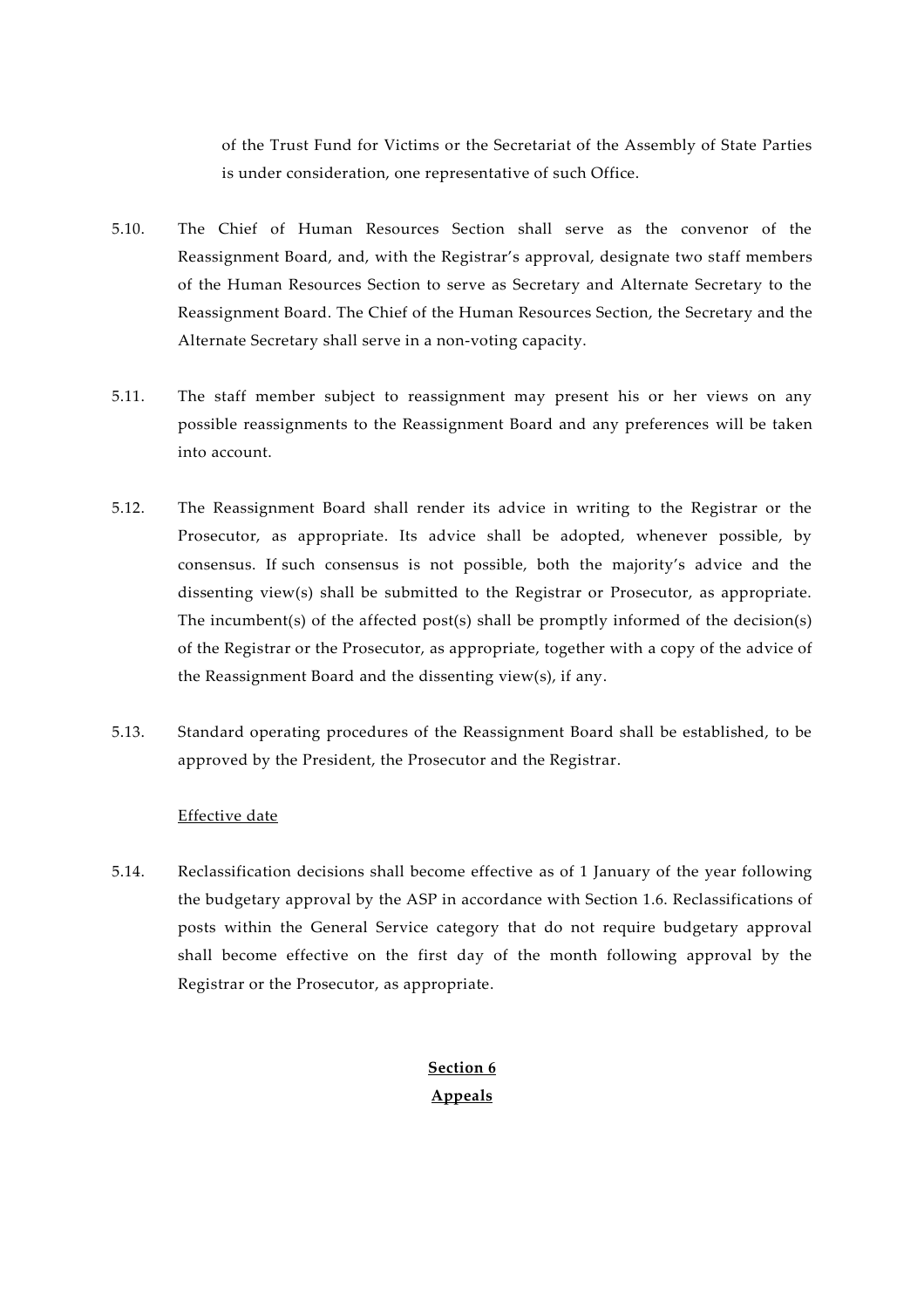of the Trust Fund for Victims or the Secretariat of the Assembly of State Parties is under consideration, one representative of such Office.

- 5.10. The Chief of Human Resources Section shall serve as the convenor of the Reassignment Board, and, with the Registrar's approval, designate two staff members of the Human Resources Section to serve as Secretary and Alternate Secretary to the Reassignment Board. The Chief of the Human Resources Section, the Secretary and the Alternate Secretary shall serve in a non-voting capacity.
- 5.11. The staff member subject to reassignment may present his or her views on any possible reassignments to the Reassignment Board and any preferences will be taken into account.
- 5.12. The Reassignment Board shall render its advice in writing to the Registrar or the Prosecutor, as appropriate. Its advice shall be adopted, whenever possible, by consensus. If such consensus is not possible, both the majority's advice and the dissenting view(s) shall be submitted to the Registrar or Prosecutor, as appropriate. The incumbent(s) of the affected post(s) shall be promptly informed of the decision(s) of the Registrar or the Prosecutor, as appropriate, together with a copy of the advice of the Reassignment Board and the dissenting view(s), if any.
- 5.13. Standard operating procedures of the Reassignment Board shall be established, to be approved by the President, the Prosecutor and the Registrar.

#### Effective date

5.14. Reclassification decisions shall become effective as of 1 January of the year following the budgetary approval by the ASP in accordance with Section 1.6. Reclassifications of posts within the General Service category that do not require budgetary approval shall become effective on the first day of the month following approval by the Registrar or the Prosecutor, as appropriate.

> **Section 6 Appeals**